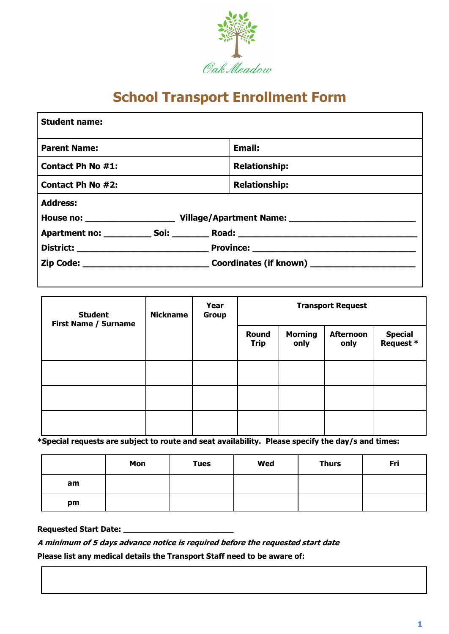

## **School Transport Enrollment Form**

| <b>Student name:</b> |  |                      |  |  |
|----------------------|--|----------------------|--|--|
| <b>Parent Name:</b>  |  | <b>Email:</b>        |  |  |
| Contact Ph No #1:    |  | <b>Relationship:</b> |  |  |
| Contact Ph No #2:    |  | <b>Relationship:</b> |  |  |
| <b>Address:</b>      |  |                      |  |  |
|                      |  |                      |  |  |
|                      |  |                      |  |  |
|                      |  |                      |  |  |

| <b>Student</b><br><b>First Name / Surname</b> | <b>Nickname</b> | Year<br><b>Group</b> | <b>Transport Request</b> |                        |                          |                      |
|-----------------------------------------------|-----------------|----------------------|--------------------------|------------------------|--------------------------|----------------------|
|                                               |                 |                      | Round<br><b>Trip</b>     | <b>Morning</b><br>only | <b>Afternoon</b><br>only | Special<br>Request * |
|                                               |                 |                      |                          |                        |                          |                      |
|                                               |                 |                      |                          |                        |                          |                      |
|                                               |                 |                      |                          |                        |                          |                      |

**\*Special requests are subject to route and seat availability. Please specify the day/s and times:** 

|    | Mon | <b>Tues</b> | Wed | <b>Thurs</b> | Fri |
|----|-----|-------------|-----|--------------|-----|
| am |     |             |     |              |     |
| pm |     |             |     |              |     |

**Requested Start Date: \_\_\_\_\_\_\_\_\_\_\_\_\_\_\_\_\_\_\_\_\_\_\_** 

**A minimum of 5 days advance notice is required before the requested start date** 

**Please list any medical details the Transport Staff need to be aware of:**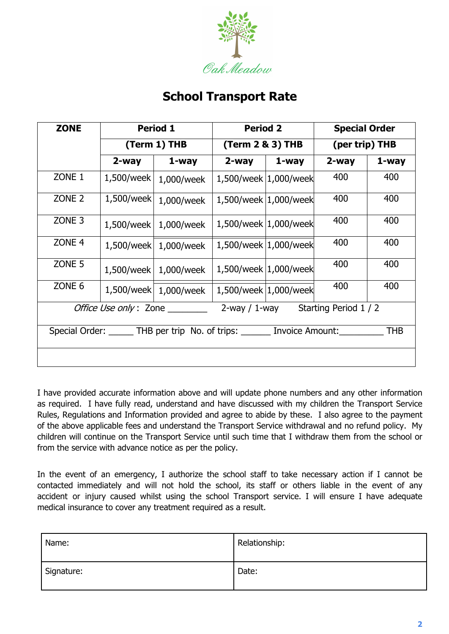

### **School Transport Rate**

| <b>ZONE</b>                                                                                     | <b>Period 1</b> |                         | <b>Period 2</b>  |                         | <b>Special Order</b> |       |
|-------------------------------------------------------------------------------------------------|-----------------|-------------------------|------------------|-------------------------|----------------------|-------|
|                                                                                                 | (Term 1) THB    |                         | (Term 2 & 3) THB |                         | (per trip) THB       |       |
|                                                                                                 | 2-way           | $1$ -way                | 2-way            | $1$ -way                | 2-way                | 1-way |
| ZONE <sub>1</sub>                                                                               | 1,500/week      | 1,000/week              |                  | 1,500/week   1,000/week | 400                  | 400   |
| ZONE <sub>2</sub>                                                                               | 1,500/week      | 1,000/week              |                  | 1,500/week   1,000/week | 400                  | 400   |
| ZONE <sub>3</sub>                                                                               | 1,500/week      | 1,000/week              |                  | 1,500/week   1,000/week | 400                  | 400   |
| ZONE <sub>4</sub>                                                                               | $1,500$ /week   | 1,000/week              |                  | 1,500/week   1,000/week | 400                  | 400   |
| ZONE 5                                                                                          | $1,500$ /week   | 1,000/week              |                  | 1,500/week   1,000/week | 400                  | 400   |
| ZONE 6                                                                                          |                 | 1,500/week   1,000/week |                  | 1,500/week   1,000/week | 400                  | 400   |
| 2-way / 1-way Starting Period 1 / 2<br><i>Office Use only</i> : Zone ________                   |                 |                         |                  |                         |                      |       |
| Special Order: _______ THB per trip No. of trips: _______ Invoice Amount: _______<br><b>THB</b> |                 |                         |                  |                         |                      |       |
|                                                                                                 |                 |                         |                  |                         |                      |       |

I have provided accurate information above and will update phone numbers and any other information as required. I have fully read, understand and have discussed with my children the Transport Service Rules, Regulations and Information provided and agree to abide by these. I also agree to the payment of the above applicable fees and understand the Transport Service withdrawal and no refund policy. My children will continue on the Transport Service until such time that I withdraw them from the school or from the service with advance notice as per the policy.

In the event of an emergency, I authorize the school staff to take necessary action if I cannot be contacted immediately and will not hold the school, its staff or others liable in the event of any accident or injury caused whilst using the school Transport service. I will ensure I have adequate medical insurance to cover any treatment required as a result.

| Name:      | Relationship: |
|------------|---------------|
| Signature: | Date:         |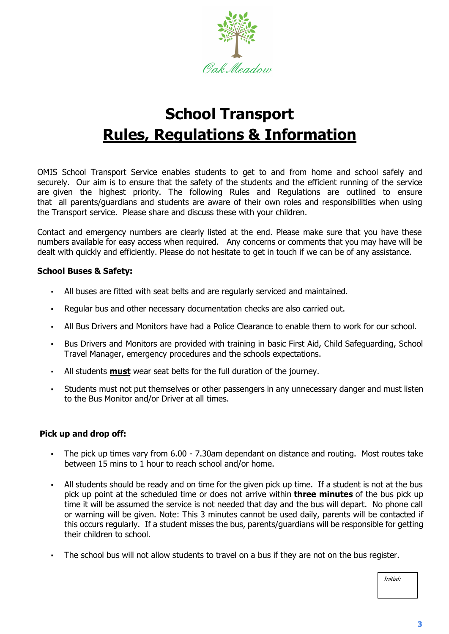

# **School Transport Rules, Regulations & Information**

OMIS School Transport Service enables students to get to and from home and school safely and securely. Our aim is to ensure that the safety of the students and the efficient running of the service are given the highest priority. The following Rules and Regulations are outlined to ensure that all parents/guardians and students are aware of their own roles and responsibilities when using the Transport service. Please share and discuss these with your children.

Contact and emergency numbers are clearly listed at the end. Please make sure that you have these numbers available for easy access when required. Any concerns or comments that you may have will be dealt with quickly and efficiently. Please do not hesitate to get in touch if we can be of any assistance.

#### **School Buses & Safety:**

- All buses are fitted with seat belts and are regularly serviced and maintained.
- Regular bus and other necessary documentation checks are also carried out.
- All Bus Drivers and Monitors have had a Police Clearance to enable them to work for our school.
- Bus Drivers and Monitors are provided with training in basic First Aid, Child Safeguarding, School Travel Manager, emergency procedures and the schools expectations.
- All students **must** wear seat belts for the full duration of the journey.
- Students must not put themselves or other passengers in any unnecessary danger and must listen to the Bus Monitor and/or Driver at all times.

#### **Pick up and drop off:**

- The pick up times vary from 6.00 7.30am dependant on distance and routing. Most routes take between 15 mins to 1 hour to reach school and/or home.
- All students should be ready and on time for the given pick up time. If a student is not at the bus pick up point at the scheduled time or does not arrive within **three minutes** of the bus pick up time it will be assumed the service is not needed that day and the bus will depart. No phone call or warning will be given. Note: This 3 minutes cannot be used daily, parents will be contacted if this occurs regularly. If a student misses the bus, parents/guardians will be responsible for getting their children to school.
- The school bus will not allow students to travel on a bus if they are not on the bus register.

Initial: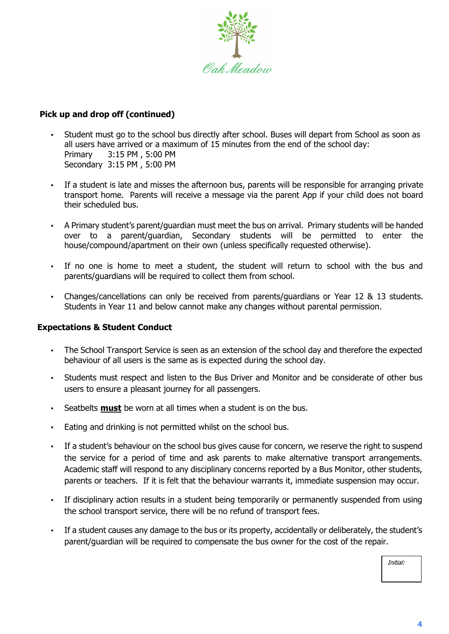

#### **Pick up and drop off (continued)**

- Student must go to the school bus directly after school. Buses will depart from School as soon as all users have arrived or a maximum of 15 minutes from the end of the school day: Primary 3:15 PM, 5:00 PM Secondary 3:15 PM, 5:00 PM
- **·** If a student is late and misses the afternoon bus, parents will be responsible for arranging private transport home. Parents will receive a message via the parent App if your child does not board their scheduled bus.
- A Primary student's parent/guardian must meet the bus on arrival. Primary students will be handed over to a parent/guardian, Secondary students will be permitted to enter the house/compound/apartment on their own (unless specifically requested otherwise).
- If no one is home to meet a student, the student will return to school with the bus and parents/guardians will be required to collect them from school.
- Changes/cancellations can only be received from parents/guardians or Year 12 & 13 students. Students in Year 11 and below cannot make any changes without parental permission.

#### **Expectations & Student Conduct**

- The School Transport Service is seen as an extension of the school day and therefore the expected behaviour of all users is the same as is expected during the school day.
- Students must respect and listen to the Bus Driver and Monitor and be considerate of other bus users to ensure a pleasant journey for all passengers.
- Seatbelts **must** be worn at all times when a student is on the bus.
- Eating and drinking is not permitted whilst on the school bus.
- If a student's behaviour on the school bus gives cause for concern, we reserve the right to suspend the service for a period of time and ask parents to make alternative transport arrangements. Academic staff will respond to any disciplinary concerns reported by a Bus Monitor, other students, parents or teachers. If it is felt that the behaviour warrants it, immediate suspension may occur.
- If disciplinary action results in a student being temporarily or permanently suspended from using the school transport service, there will be no refund of transport fees.
- If a student causes any damage to the bus or its property, accidentally or deliberately, the student's parent/guardian will be required to compensate the bus owner for the cost of the repair.

Initial: